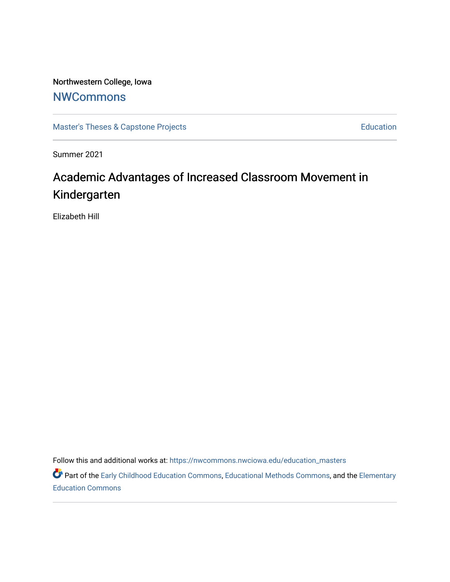Northwestern College, Iowa

## **[NWCommons](https://nwcommons.nwciowa.edu/)**

[Master's Theses & Capstone Projects](https://nwcommons.nwciowa.edu/education_masters) **Education** Education

Summer 2021

# Academic Advantages of Increased Classroom Movement in Kindergarten

Elizabeth Hill

Follow this and additional works at: [https://nwcommons.nwciowa.edu/education\\_masters](https://nwcommons.nwciowa.edu/education_masters?utm_source=nwcommons.nwciowa.edu%2Feducation_masters%2F313&utm_medium=PDF&utm_campaign=PDFCoverPages)

Part of the [Early Childhood Education Commons,](http://network.bepress.com/hgg/discipline/1377?utm_source=nwcommons.nwciowa.edu%2Feducation_masters%2F313&utm_medium=PDF&utm_campaign=PDFCoverPages) [Educational Methods Commons,](http://network.bepress.com/hgg/discipline/1227?utm_source=nwcommons.nwciowa.edu%2Feducation_masters%2F313&utm_medium=PDF&utm_campaign=PDFCoverPages) and the Elementary [Education Commons](http://network.bepress.com/hgg/discipline/1378?utm_source=nwcommons.nwciowa.edu%2Feducation_masters%2F313&utm_medium=PDF&utm_campaign=PDFCoverPages)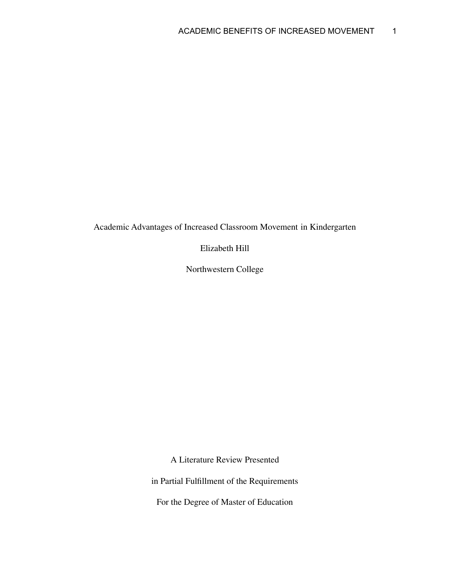Academic Advantages of Increased Classroom Movement in Kindergarten

Elizabeth Hill

Northwestern College

A Literature Review Presented

in Partial Fulfillment of the Requirements

For the Degree of Master of Education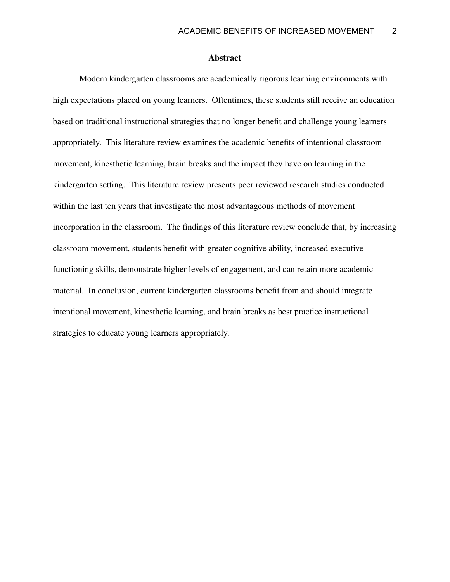#### **Abstract**

Modern kindergarten classrooms are academically rigorous learning environments with high expectations placed on young learners. Oftentimes, these students still receive an education based on traditional instructional strategies that no longer benefit and challenge young learners appropriately. This literature review examines the academic benefits of intentional classroom movement, kinesthetic learning, brain breaks and the impact they have on learning in the kindergarten setting. This literature review presents peer reviewed research studies conducted within the last ten years that investigate the most advantageous methods of movement incorporation in the classroom. The findings of this literature review conclude that, by increasing classroom movement, students benefit with greater cognitive ability, increased executive functioning skills, demonstrate higher levels of engagement, and can retain more academic material. In conclusion, current kindergarten classrooms benefit from and should integrate intentional movement, kinesthetic learning, and brain breaks as best practice instructional strategies to educate young learners appropriately.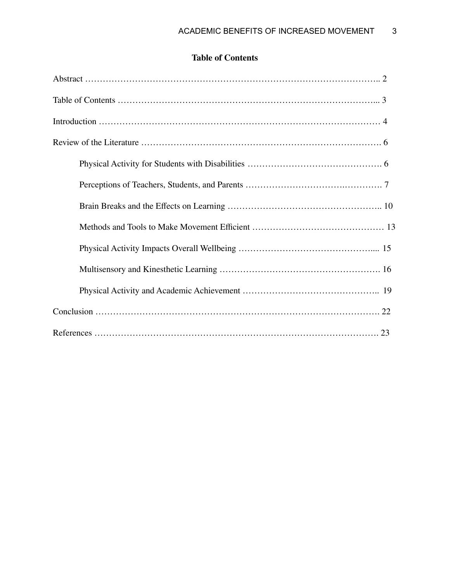### **Table of Contents**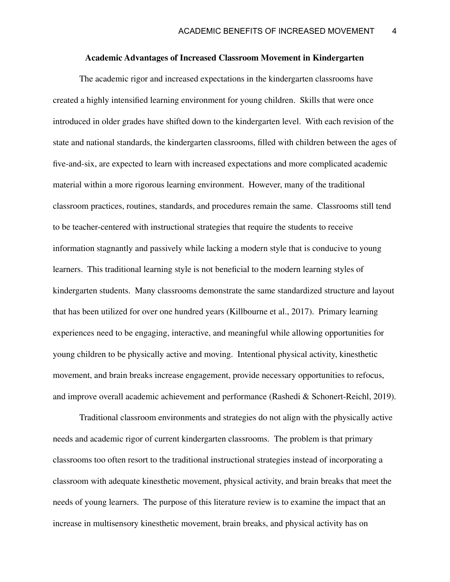#### **Academic Advantages of Increased Classroom Movement in Kindergarten**

The academic rigor and increased expectations in the kindergarten classrooms have created a highly intensified learning environment for young children. Skills that were once introduced in older grades have shifted down to the kindergarten level. With each revision of the state and national standards, the kindergarten classrooms, filled with children between the ages of five-and-six, are expected to learn with increased expectations and more complicated academic material within a more rigorous learning environment. However, many of the traditional classroom practices, routines, standards, and procedures remain the same. Classrooms still tend to be teacher-centered with instructional strategies that require the students to receive information stagnantly and passively while lacking a modern style that is conducive to young learners. This traditional learning style is not beneficial to the modern learning styles of kindergarten students. Many classrooms demonstrate the same standardized structure and layout that has been utilized for over one hundred years (Killbourne et al., 2017). Primary learning experiences need to be engaging, interactive, and meaningful while allowing opportunities for young children to be physically active and moving. Intentional physical activity, kinesthetic movement, and brain breaks increase engagement, provide necessary opportunities to refocus, and improve overall academic achievement and performance (Rashedi & Schonert-Reichl, 2019).

Traditional classroom environments and strategies do not align with the physically active needs and academic rigor of current kindergarten classrooms. The problem is that primary classrooms too often resort to the traditional instructional strategies instead of incorporating a classroom with adequate kinesthetic movement, physical activity, and brain breaks that meet the needs of young learners. The purpose of this literature review is to examine the impact that an increase in multisensory kinesthetic movement, brain breaks, and physical activity has on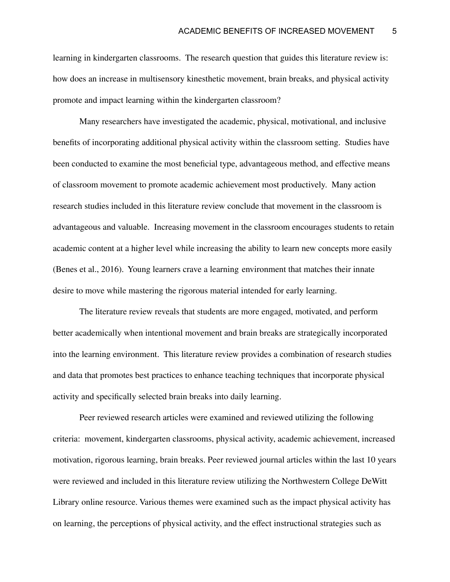learning in kindergarten classrooms. The research question that guides this literature review is: how does an increase in multisensory kinesthetic movement, brain breaks, and physical activity promote and impact learning within the kindergarten classroom?

Many researchers have investigated the academic, physical, motivational, and inclusive benefits of incorporating additional physical activity within the classroom setting. Studies have been conducted to examine the most beneficial type, advantageous method, and effective means of classroom movement to promote academic achievement most productively. Many action research studies included in this literature review conclude that movement in the classroom is advantageous and valuable. Increasing movement in the classroom encourages students to retain academic content at a higher level while increasing the ability to learn new concepts more easily (Benes et al., 2016). Young learners crave a learning environment that matches their innate desire to move while mastering the rigorous material intended for early learning.

The literature review reveals that students are more engaged, motivated, and perform better academically when intentional movement and brain breaks are strategically incorporated into the learning environment. This literature review provides a combination of research studies and data that promotes best practices to enhance teaching techniques that incorporate physical activity and specifically selected brain breaks into daily learning.

Peer reviewed research articles were examined and reviewed utilizing the following criteria: movement, kindergarten classrooms, physical activity, academic achievement, increased motivation, rigorous learning, brain breaks. Peer reviewed journal articles within the last 10 years were reviewed and included in this literature review utilizing the Northwestern College DeWitt Library online resource. Various themes were examined such as the impact physical activity has on learning, the perceptions of physical activity, and the effect instructional strategies such as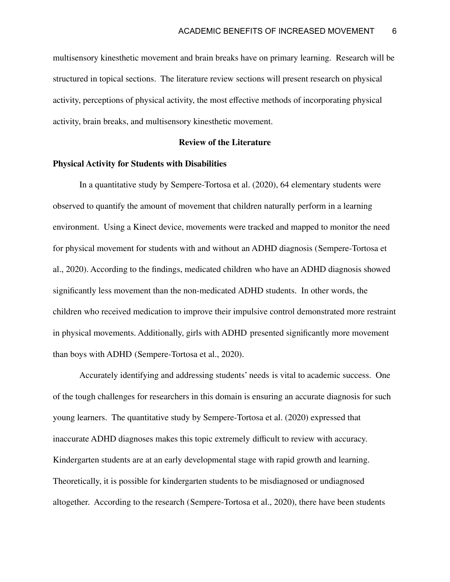multisensory kinesthetic movement and brain breaks have on primary learning. Research will be structured in topical sections. The literature review sections will present research on physical activity, perceptions of physical activity, the most effective methods of incorporating physical activity, brain breaks, and multisensory kinesthetic movement.

#### **Review of the Literature**

#### **Physical Activity for Students with Disabilities**

In a quantitative study by Sempere-Tortosa et al. (2020), 64 elementary students were observed to quantify the amount of movement that children naturally perform in a learning environment. Using a Kinect device, movements were tracked and mapped to monitor the need for physical movement for students with and without an ADHD diagnosis (Sempere-Tortosa et al., 2020). According to the findings, medicated children who have an ADHD diagnosis showed significantly less movement than the non-medicated ADHD students. In other words, the children who received medication to improve their impulsive control demonstrated more restraint in physical movements. Additionally, girls with ADHD presented significantly more movement than boys with ADHD (Sempere-Tortosa et al., 2020).

Accurately identifying and addressing students' needs is vital to academic success. One of the tough challenges for researchers in this domain is ensuring an accurate diagnosis for such young learners. The quantitative study by Sempere-Tortosa et al. (2020) expressed that inaccurate ADHD diagnoses makes this topic extremely difficult to review with accuracy. Kindergarten students are at an early developmental stage with rapid growth and learning. Theoretically, it is possible for kindergarten students to be misdiagnosed or undiagnosed altogether. According to the research (Sempere-Tortosa et al., 2020), there have been students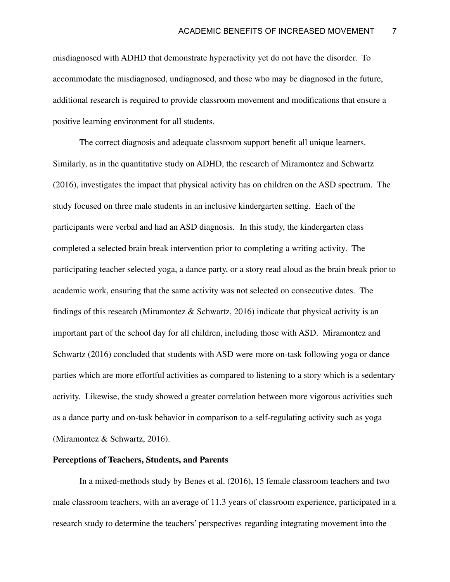misdiagnosed with ADHD that demonstrate hyperactivity yet do not have the disorder. To accommodate the misdiagnosed, undiagnosed, and those who may be diagnosed in the future, additional research is required to provide classroom movement and modifications that ensure a positive learning environment for all students.

The correct diagnosis and adequate classroom support benefit all unique learners. Similarly, as in the quantitative study on ADHD, the research of Miramontez and Schwartz (2016), investigates the impact that physical activity has on children on the ASD spectrum. The study focused on three male students in an inclusive kindergarten setting. Each of the participants were verbal and had an ASD diagnosis. In this study, the kindergarten class completed a selected brain break intervention prior to completing a writing activity. The participating teacher selected yoga, a dance party, or a story read aloud as the brain break prior to academic work, ensuring that the same activity was not selected on consecutive dates. The findings of this research (Miramontez  $\&$  Schwartz, 2016) indicate that physical activity is an important part of the school day for all children, including those with ASD. Miramontez and Schwartz (2016) concluded that students with ASD were more on-task following yoga or dance parties which are more effortful activities as compared to listening to a story which is a sedentary activity. Likewise, the study showed a greater correlation between more vigorous activities such as a dance party and on-task behavior in comparison to a self-regulating activity such as yoga (Miramontez & Schwartz, 2016).

#### **Perceptions of Teachers, Students, and Parents**

In a mixed-methods study by Benes et al. (2016), 15 female classroom teachers and two male classroom teachers, with an average of 11.3 years of classroom experience, participated in a research study to determine the teachers' perspectives regarding integrating movement into the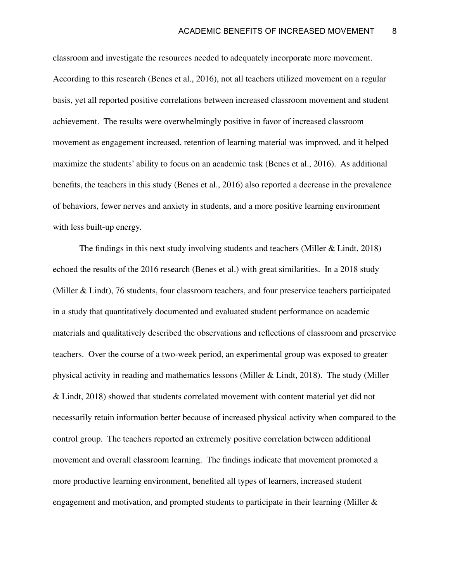classroom and investigate the resources needed to adequately incorporate more movement. According to this research (Benes et al., 2016), not all teachers utilized movement on a regular basis, yet all reported positive correlations between increased classroom movement and student achievement. The results were overwhelmingly positive in favor of increased classroom movement as engagement increased, retention of learning material was improved, and it helped maximize the students' ability to focus on an academic task (Benes et al., 2016). As additional benefits, the teachers in this study (Benes et al., 2016) also reported a decrease in the prevalence of behaviors, fewer nerves and anxiety in students, and a more positive learning environment with less built-up energy.

The findings in this next study involving students and teachers (Miller & Lindt, 2018) echoed the results of the 2016 research (Benes et al.) with great similarities. In a 2018 study (Miller & Lindt), 76 students, four classroom teachers, and four preservice teachers participated in a study that quantitatively documented and evaluated student performance on academic materials and qualitatively described the observations and reflections of classroom and preservice teachers. Over the course of a two-week period, an experimental group was exposed to greater physical activity in reading and mathematics lessons (Miller & Lindt, 2018). The study (Miller & Lindt, 2018) showed that students correlated movement with content material yet did not necessarily retain information better because of increased physical activity when compared to the control group. The teachers reported an extremely positive correlation between additional movement and overall classroom learning. The findings indicate that movement promoted a more productive learning environment, benefited all types of learners, increased student engagement and motivation, and prompted students to participate in their learning (Miller &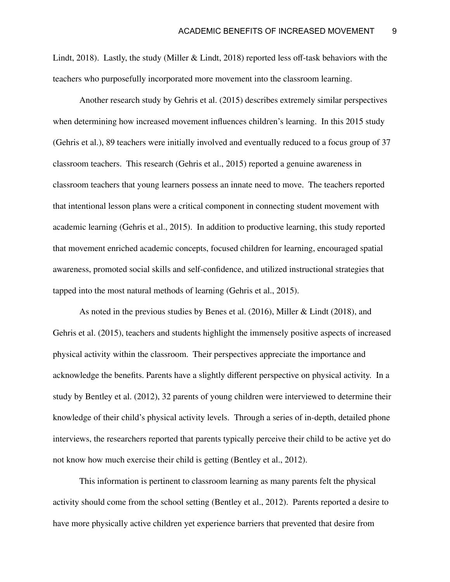Lindt, 2018). Lastly, the study (Miller & Lindt, 2018) reported less off-task behaviors with the teachers who purposefully incorporated more movement into the classroom learning.

Another research study by Gehris et al. (2015) describes extremely similar perspectives when determining how increased movement influences children's learning. In this 2015 study (Gehris et al.), 89 teachers were initially involved and eventually reduced to a focus group of 37 classroom teachers. This research (Gehris et al., 2015) reported a genuine awareness in classroom teachers that young learners possess an innate need to move. The teachers reported that intentional lesson plans were a critical component in connecting student movement with academic learning (Gehris et al., 2015). In addition to productive learning, this study reported that movement enriched academic concepts, focused children for learning, encouraged spatial awareness, promoted social skills and self-confidence, and utilized instructional strategies that tapped into the most natural methods of learning (Gehris et al., 2015).

As noted in the previous studies by Benes et al. (2016), Miller & Lindt (2018), and Gehris et al. (2015), teachers and students highlight the immensely positive aspects of increased physical activity within the classroom. Their perspectives appreciate the importance and acknowledge the benefits. Parents have a slightly different perspective on physical activity. In a study by Bentley et al. (2012), 32 parents of young children were interviewed to determine their knowledge of their child's physical activity levels. Through a series of in-depth, detailed phone interviews, the researchers reported that parents typically perceive their child to be active yet do not know how much exercise their child is getting (Bentley et al., 2012).

This information is pertinent to classroom learning as many parents felt the physical activity should come from the school setting (Bentley et al., 2012). Parents reported a desire to have more physically active children yet experience barriers that prevented that desire from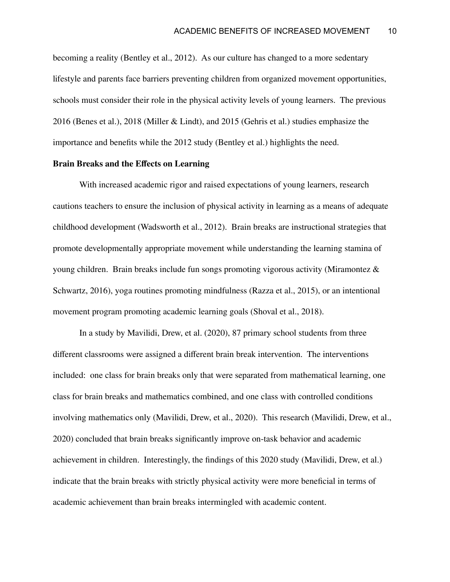becoming a reality (Bentley et al., 2012). As our culture has changed to a more sedentary lifestyle and parents face barriers preventing children from organized movement opportunities, schools must consider their role in the physical activity levels of young learners. The previous 2016 (Benes et al.), 2018 (Miller & Lindt), and 2015 (Gehris et al.) studies emphasize the importance and benefits while the 2012 study (Bentley et al.) highlights the need.

#### **Brain Breaks and the Effects on Learning**

With increased academic rigor and raised expectations of young learners, research cautions teachers to ensure the inclusion of physical activity in learning as a means of adequate childhood development (Wadsworth et al., 2012). Brain breaks are instructional strategies that promote developmentally appropriate movement while understanding the learning stamina of young children. Brain breaks include fun songs promoting vigorous activity (Miramontez & Schwartz, 2016), yoga routines promoting mindfulness (Razza et al., 2015), or an intentional movement program promoting academic learning goals (Shoval et al., 2018).

In a study by Mavilidi, Drew, et al. (2020), 87 primary school students from three different classrooms were assigned a different brain break intervention. The interventions included: one class for brain breaks only that were separated from mathematical learning, one class for brain breaks and mathematics combined, and one class with controlled conditions involving mathematics only (Mavilidi, Drew, et al., 2020). This research (Mavilidi, Drew, et al., 2020) concluded that brain breaks significantly improve on-task behavior and academic achievement in children. Interestingly, the findings of this 2020 study (Mavilidi, Drew, et al.) indicate that the brain breaks with strictly physical activity were more beneficial in terms of academic achievement than brain breaks intermingled with academic content.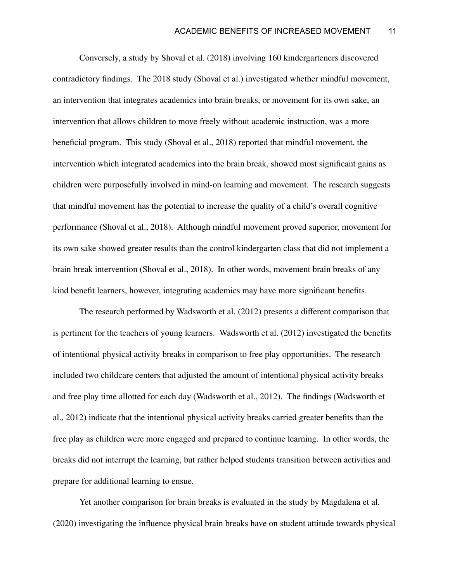Conversely, a study by Shoval et al. (2018) involving 160 kindergarteners discovered contradictory findings. The 2018 study (Shoval et al.) investigated whether mindful movement, an intervention that integrates academics into brain breaks, or movement for its own sake, an intervention that allows children to move freely without academic instruction, was a more beneficial program. This study (Shoval et al., 2018) reported that mindful movement, the intervention which integrated academics into the brain break, showed most significant gains as children were purposefully involved in mind-on learning and movement. The research suggests that mindful movement has the potential to increase the quality of a child's overall cognitive performance (Shoval et al., 2018). Although mindful movement proved superior, movement for its own sake showed greater results than the control kindergarten class that did not implement a brain break intervention (Shoval et al., 2018). In other words, movement brain breaks of any kind benefit learners, however, integrating academics may have more significant benefits.

The research performed by Wadsworth et al. (2012) presents a different comparison that is pertinent for the teachers of young learners. Wadsworth et al. (2012) investigated the benefits of intentional physical activity breaks in comparison to free play opportunities. The research included two childcare centers that adjusted the amount of intentional physical activity breaks and free play time allotted for each day (Wadsworth et al., 2012). The findings (Wadsworth et al., 2012) indicate that the intentional physical activity breaks carried greater benefits than the free play as children were more engaged and prepared to continue learning. In other words, the breaks did not interrupt the learning, but rather helped students transition between activities and prepare for additional learning to ensue.

Yet another comparison for brain breaks is evaluated in the study by Magdalena et al. (2020) investigating the influence physical brain breaks have on student attitude towards physical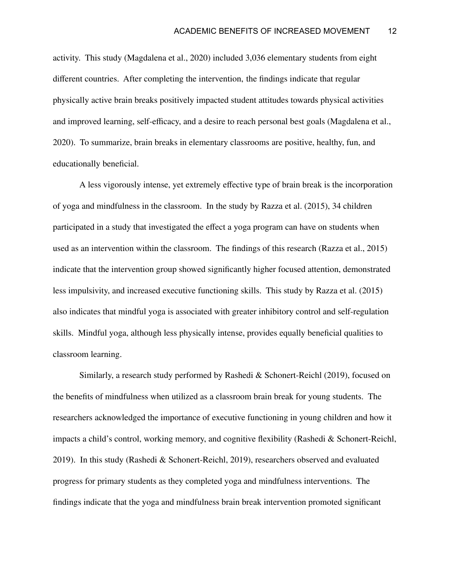activity. This study (Magdalena et al., 2020) included 3,036 elementary students from eight different countries. After completing the intervention, the findings indicate that regular physically active brain breaks positively impacted student attitudes towards physical activities and improved learning, self-efficacy, and a desire to reach personal best goals (Magdalena et al., 2020). To summarize, brain breaks in elementary classrooms are positive, healthy, fun, and educationally beneficial.

A less vigorously intense, yet extremely effective type of brain break is the incorporation of yoga and mindfulness in the classroom. In the study by Razza et al. (2015), 34 children participated in a study that investigated the effect a yoga program can have on students when used as an intervention within the classroom. The findings of this research (Razza et al., 2015) indicate that the intervention group showed significantly higher focused attention, demonstrated less impulsivity, and increased executive functioning skills. This study by Razza et al. (2015) also indicates that mindful yoga is associated with greater inhibitory control and self-regulation skills. Mindful yoga, although less physically intense, provides equally beneficial qualities to classroom learning.

Similarly, a research study performed by Rashedi & Schonert-Reichl (2019), focused on the benefits of mindfulness when utilized as a classroom brain break for young students. The researchers acknowledged the importance of executive functioning in young children and how it impacts a child's control, working memory, and cognitive flexibility (Rashedi & Schonert-Reichl, 2019). In this study (Rashedi & Schonert-Reichl, 2019), researchers observed and evaluated progress for primary students as they completed yoga and mindfulness interventions. The findings indicate that the yoga and mindfulness brain break intervention promoted significant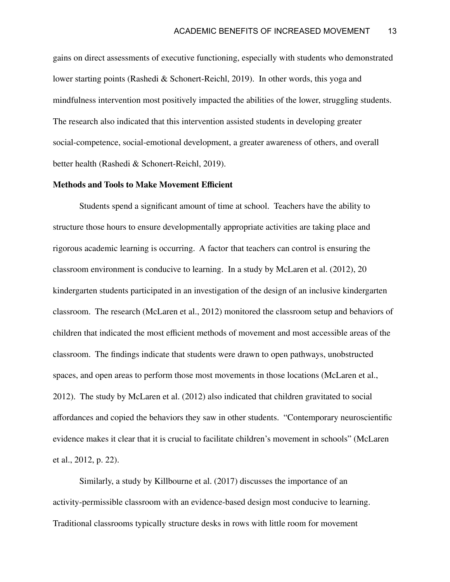gains on direct assessments of executive functioning, especially with students who demonstrated lower starting points (Rashedi & Schonert-Reichl, 2019). In other words, this yoga and mindfulness intervention most positively impacted the abilities of the lower, struggling students. The research also indicated that this intervention assisted students in developing greater social-competence, social-emotional development, a greater awareness of others, and overall better health (Rashedi & Schonert-Reichl, 2019).

#### **Methods and Tools to Make Movement Efficient**

Students spend a significant amount of time at school. Teachers have the ability to structure those hours to ensure developmentally appropriate activities are taking place and rigorous academic learning is occurring. A factor that teachers can control is ensuring the classroom environment is conducive to learning. In a study by McLaren et al. (2012), 20 kindergarten students participated in an investigation of the design of an inclusive kindergarten classroom. The research (McLaren et al., 2012) monitored the classroom setup and behaviors of children that indicated the most efficient methods of movement and most accessible areas of the classroom. The findings indicate that students were drawn to open pathways, unobstructed spaces, and open areas to perform those most movements in those locations (McLaren et al., 2012). The study by McLaren et al. (2012) also indicated that children gravitated to social affordances and copied the behaviors they saw in other students. "Contemporary neuroscientific evidence makes it clear that it is crucial to facilitate children's movement in schools" (McLaren et al., 2012, p. 22).

Similarly, a study by Killbourne et al. (2017) discusses the importance of an activity-permissible classroom with an evidence-based design most conducive to learning. Traditional classrooms typically structure desks in rows with little room for movement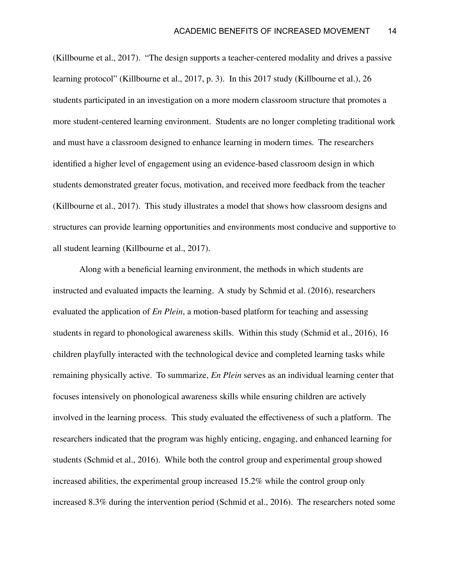(Killbourne et al., 2017). "The design supports a teacher-centered modality and drives a passive learning protocol" (Killbourne et al., 2017, p. 3). In this 2017 study (Killbourne et al.), 26 students participated in an investigation on a more modern classroom structure that promotes a more student-centered learning environment. Students are no longer completing traditional work and must have a classroom designed to enhance learning in modern times. The researchers identified a higher level of engagement using an evidence-based classroom design in which students demonstrated greater focus, motivation, and received more feedback from the teacher (Killbourne et al., 2017). This study illustrates a model that shows how classroom designs and structures can provide learning opportunities and environments most conducive and supportive to all student learning (Killbourne et al., 2017).

Along with a beneficial learning environment, the methods in which students are instructed and evaluated impacts the learning. A study by Schmid et al. (2016), researchers evaluated the application of *En Plein*, a motion-based platform for teaching and assessing students in regard to phonological awareness skills. Within this study (Schmid et al., 2016), 16 children playfully interacted with the technological device and completed learning tasks while remaining physically active. To summarize, *En Plein* serves as an individual learning center that focuses intensively on phonological awareness skills while ensuring children are actively involved in the learning process. This study evaluated the effectiveness of such a platform. The researchers indicated that the program was highly enticing, engaging, and enhanced learning for students (Schmid et al., 2016). While both the control group and experimental group showed increased abilities, the experimental group increased 15.2% while the control group only increased 8.3% during the intervention period (Schmid et al., 2016). The researchers noted some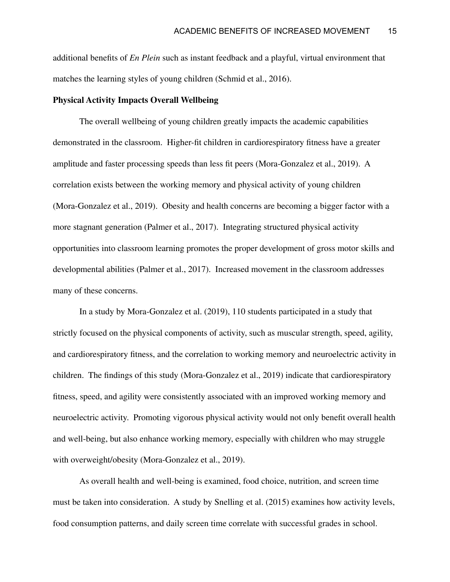additional benefits of *En Plein* such as instant feedback and a playful, virtual environment that matches the learning styles of young children (Schmid et al., 2016).

#### **Physical Activity Impacts Overall Wellbeing**

The overall wellbeing of young children greatly impacts the academic capabilities demonstrated in the classroom. Higher-fit children in cardiorespiratory fitness have a greater amplitude and faster processing speeds than less fit peers (Mora-Gonzalez et al., 2019). A correlation exists between the working memory and physical activity of young children (Mora-Gonzalez et al., 2019). Obesity and health concerns are becoming a bigger factor with a more stagnant generation (Palmer et al., 2017). Integrating structured physical activity opportunities into classroom learning promotes the proper development of gross motor skills and developmental abilities (Palmer et al., 2017). Increased movement in the classroom addresses many of these concerns.

In a study by Mora-Gonzalez et al. (2019), 110 students participated in a study that strictly focused on the physical components of activity, such as muscular strength, speed, agility, and cardiorespiratory fitness, and the correlation to working memory and neuroelectric activity in children. The findings of this study (Mora-Gonzalez et al., 2019) indicate that cardiorespiratory fitness, speed, and agility were consistently associated with an improved working memory and neuroelectric activity. Promoting vigorous physical activity would not only benefit overall health and well-being, but also enhance working memory, especially with children who may struggle with overweight/obesity (Mora-Gonzalez et al., 2019).

As overall health and well-being is examined, food choice, nutrition, and screen time must be taken into consideration. A study by Snelling et al. (2015) examines how activity levels, food consumption patterns, and daily screen time correlate with successful grades in school.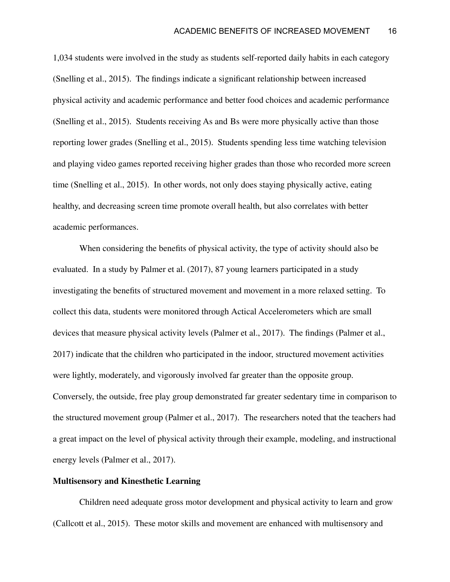1,034 students were involved in the study as students self-reported daily habits in each category (Snelling et al., 2015). The findings indicate a significant relationship between increased physical activity and academic performance and better food choices and academic performance (Snelling et al., 2015). Students receiving As and Bs were more physically active than those reporting lower grades (Snelling et al., 2015). Students spending less time watching television and playing video games reported receiving higher grades than those who recorded more screen time (Snelling et al., 2015). In other words, not only does staying physically active, eating healthy, and decreasing screen time promote overall health, but also correlates with better academic performances.

When considering the benefits of physical activity, the type of activity should also be evaluated. In a study by Palmer et al. (2017), 87 young learners participated in a study investigating the benefits of structured movement and movement in a more relaxed setting. To collect this data, students were monitored through Actical Accelerometers which are small devices that measure physical activity levels (Palmer et al., 2017). The findings (Palmer et al., 2017) indicate that the children who participated in the indoor, structured movement activities were lightly, moderately, and vigorously involved far greater than the opposite group. Conversely, the outside, free play group demonstrated far greater sedentary time in comparison to the structured movement group (Palmer et al., 2017). The researchers noted that the teachers had a great impact on the level of physical activity through their example, modeling, and instructional energy levels (Palmer et al., 2017).

#### **Multisensory and Kinesthetic Learning**

Children need adequate gross motor development and physical activity to learn and grow (Callcott et al., 2015). These motor skills and movement are enhanced with multisensory and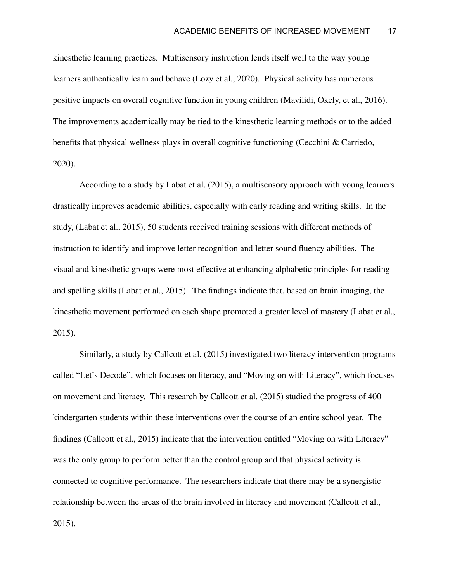kinesthetic learning practices. Multisensory instruction lends itself well to the way young learners authentically learn and behave (Lozy et al., 2020). Physical activity has numerous positive impacts on overall cognitive function in young children (Mavilidi, Okely, et al., 2016). The improvements academically may be tied to the kinesthetic learning methods or to the added benefits that physical wellness plays in overall cognitive functioning (Cecchini & Carriedo, 2020).

According to a study by Labat et al. (2015), a multisensory approach with young learners drastically improves academic abilities, especially with early reading and writing skills. In the study, (Labat et al., 2015), 50 students received training sessions with different methods of instruction to identify and improve letter recognition and letter sound fluency abilities. The visual and kinesthetic groups were most effective at enhancing alphabetic principles for reading and spelling skills (Labat et al., 2015). The findings indicate that, based on brain imaging, the kinesthetic movement performed on each shape promoted a greater level of mastery (Labat et al., 2015).

Similarly, a study by Callcott et al. (2015) investigated two literacy intervention programs called "Let's Decode", which focuses on literacy, and "Moving on with Literacy", which focuses on movement and literacy. This research by Callcott et al. (2015) studied the progress of 400 kindergarten students within these interventions over the course of an entire school year. The findings (Callcott et al., 2015) indicate that the intervention entitled "Moving on with Literacy" was the only group to perform better than the control group and that physical activity is connected to cognitive performance. The researchers indicate that there may be a synergistic relationship between the areas of the brain involved in literacy and movement (Callcott et al., 2015).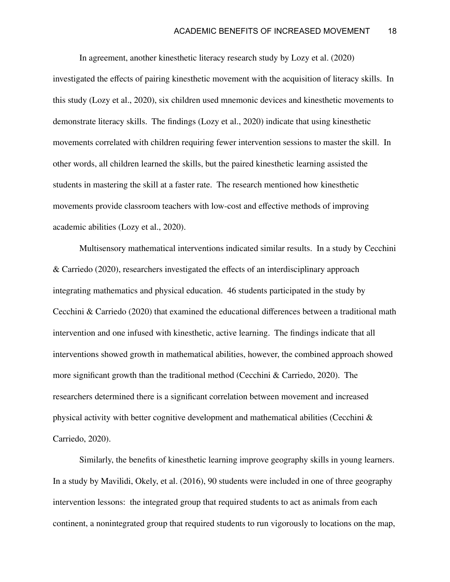In agreement, another kinesthetic literacy research study by Lozy et al. (2020) investigated the effects of pairing kinesthetic movement with the acquisition of literacy skills. In this study (Lozy et al., 2020), six children used mnemonic devices and kinesthetic movements to demonstrate literacy skills. The findings (Lozy et al., 2020) indicate that using kinesthetic movements correlated with children requiring fewer intervention sessions to master the skill. In other words, all children learned the skills, but the paired kinesthetic learning assisted the students in mastering the skill at a faster rate. The research mentioned how kinesthetic movements provide classroom teachers with low-cost and effective methods of improving academic abilities (Lozy et al., 2020).

Multisensory mathematical interventions indicated similar results. In a study by Cecchini & Carriedo (2020), researchers investigated the effects of an interdisciplinary approach integrating mathematics and physical education. 46 students participated in the study by Cecchini & Carriedo (2020) that examined the educational differences between a traditional math intervention and one infused with kinesthetic, active learning. The findings indicate that all interventions showed growth in mathematical abilities, however, the combined approach showed more significant growth than the traditional method (Cecchini & Carriedo, 2020). The researchers determined there is a significant correlation between movement and increased physical activity with better cognitive development and mathematical abilities (Cecchini & Carriedo, 2020).

Similarly, the benefits of kinesthetic learning improve geography skills in young learners. In a study by Mavilidi, Okely, et al. (2016), 90 students were included in one of three geography intervention lessons: the integrated group that required students to act as animals from each continent, a nonintegrated group that required students to run vigorously to locations on the map,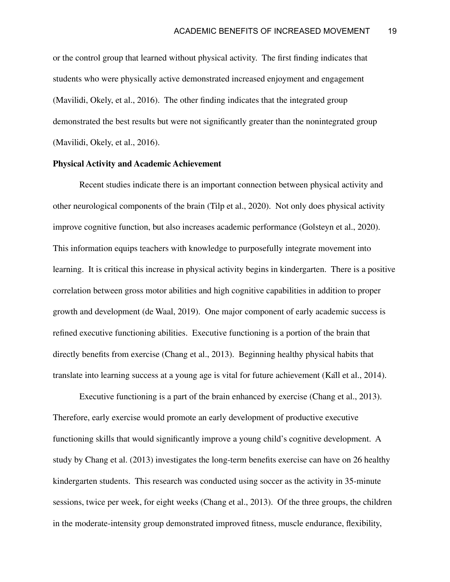or the control group that learned without physical activity. The first finding indicates that students who were physically active demonstrated increased enjoyment and engagement (Mavilidi, Okely, et al., 2016). The other finding indicates that the integrated group demonstrated the best results but were not significantly greater than the nonintegrated group (Mavilidi, Okely, et al., 2016).

#### **Physical Activity and Academic Achievement**

Recent studies indicate there is an important connection between physical activity and other neurological components of the brain (Tilp et al., 2020). Not only does physical activity improve cognitive function, but also increases academic performance (Golsteyn et al., 2020). This information equips teachers with knowledge to purposefully integrate movement into learning. It is critical this increase in physical activity begins in kindergarten. There is a positive correlation between gross motor abilities and high cognitive capabilities in addition to proper growth and development (de Waal, 2019). One major component of early academic success is refined executive functioning abilities. Executive functioning is a portion of the brain that directly benefits from exercise (Chang et al., 2013). Beginning healthy physical habits that translate into learning success at a young age is vital for future achievement (Käll et al., 2014).

Executive functioning is a part of the brain enhanced by exercise (Chang et al., 2013). Therefore, early exercise would promote an early development of productive executive functioning skills that would significantly improve a young child's cognitive development. A study by Chang et al. (2013) investigates the long-term benefits exercise can have on 26 healthy kindergarten students. This research was conducted using soccer as the activity in 35-minute sessions, twice per week, for eight weeks (Chang et al., 2013). Of the three groups, the children in the moderate-intensity group demonstrated improved fitness, muscle endurance, flexibility,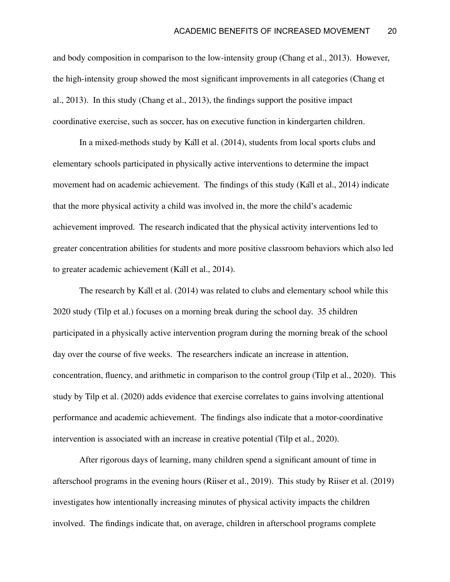and body composition in comparison to the low-intensity group (Chang et al., 2013). However, the high-intensity group showed the most significant improvements in all categories (Chang et al., 2013). In this study (Chang et al., 2013), the findings support the positive impact coordinative exercise, such as soccer, has on executive function in kindergarten children.

In a mixed-methods study by Käll et al. (2014), students from local sports clubs and elementary schools participated in physically active interventions to determine the impact movement had on academic achievement. The findings of this study (Käll et al., 2014) indicate that the more physical activity a child was involved in, the more the child's academic achievement improved. The research indicated that the physical activity interventions led to greater concentration abilities for students and more positive classroom behaviors which also led to greater academic achievement (Käll et al., 2014).

The research by Käll et al. (2014) was related to clubs and elementary school while this 2020 study (Tilp et al.) focuses on a morning break during the school day. 35 children participated in a physically active intervention program during the morning break of the school day over the course of five weeks. The researchers indicate an increase in attention, concentration, fluency, and arithmetic in comparison to the control group (Tilp et al., 2020). This study by Tilp et al. (2020) adds evidence that exercise correlates to gains involving attentional performance and academic achievement. The findings also indicate that a motor-coordinative intervention is associated with an increase in creative potential (Tilp et al., 2020).

After rigorous days of learning, many children spend a significant amount of time in afterschool programs in the evening hours (Riiser et al., 2019). This study by Riiser et al. (2019) investigates how intentionally increasing minutes of physical activity impacts the children involved. The findings indicate that, on average, children in afterschool programs complete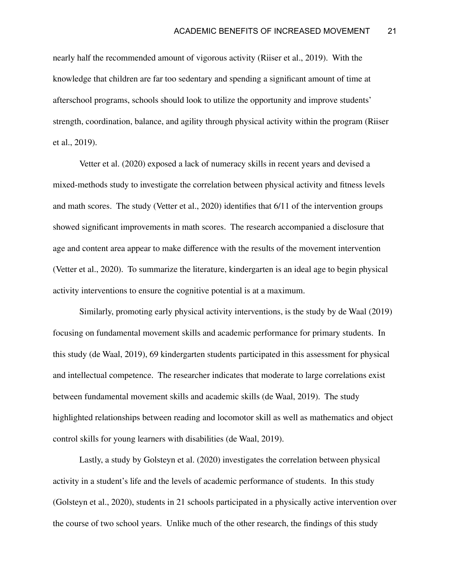nearly half the recommended amount of vigorous activity (Riiser et al., 2019). With the knowledge that children are far too sedentary and spending a significant amount of time at afterschool programs, schools should look to utilize the opportunity and improve students' strength, coordination, balance, and agility through physical activity within the program (Riiser et al., 2019).

Vetter et al. (2020) exposed a lack of numeracy skills in recent years and devised a mixed-methods study to investigate the correlation between physical activity and fitness levels and math scores. The study (Vetter et al., 2020) identifies that 6/11 of the intervention groups showed significant improvements in math scores. The research accompanied a disclosure that age and content area appear to make difference with the results of the movement intervention (Vetter et al., 2020). To summarize the literature, kindergarten is an ideal age to begin physical activity interventions to ensure the cognitive potential is at a maximum.

Similarly, promoting early physical activity interventions, is the study by de Waal (2019) focusing on fundamental movement skills and academic performance for primary students. In this study (de Waal, 2019), 69 kindergarten students participated in this assessment for physical and intellectual competence. The researcher indicates that moderate to large correlations exist between fundamental movement skills and academic skills (de Waal, 2019). The study highlighted relationships between reading and locomotor skill as well as mathematics and object control skills for young learners with disabilities (de Waal, 2019).

Lastly, a study by Golsteyn et al. (2020) investigates the correlation between physical activity in a student's life and the levels of academic performance of students. In this study (Golsteyn et al., 2020), students in 21 schools participated in a physically active intervention over the course of two school years. Unlike much of the other research, the findings of this study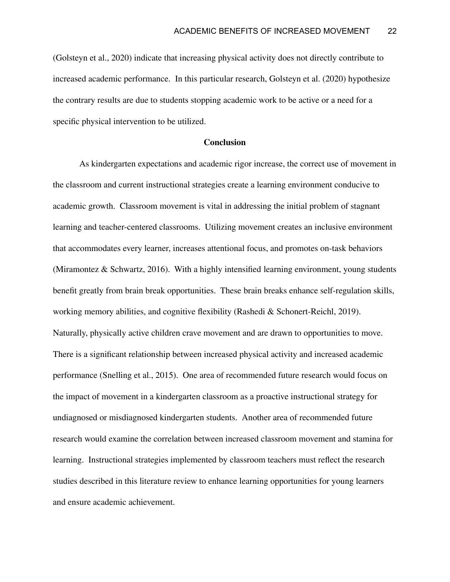(Golsteyn et al., 2020) indicate that increasing physical activity does not directly contribute to increased academic performance. In this particular research, Golsteyn et al. (2020) hypothesize the contrary results are due to students stopping academic work to be active or a need for a specific physical intervention to be utilized.

#### **Conclusion**

As kindergarten expectations and academic rigor increase, the correct use of movement in the classroom and current instructional strategies create a learning environment conducive to academic growth. Classroom movement is vital in addressing the initial problem of stagnant learning and teacher-centered classrooms. Utilizing movement creates an inclusive environment that accommodates every learner, increases attentional focus, and promotes on-task behaviors (Miramontez & Schwartz, 2016). With a highly intensified learning environment, young students benefit greatly from brain break opportunities. These brain breaks enhance self-regulation skills, working memory abilities, and cognitive flexibility (Rashedi & Schonert-Reichl, 2019). Naturally, physically active children crave movement and are drawn to opportunities to move. There is a significant relationship between increased physical activity and increased academic performance (Snelling et al., 2015). One area of recommended future research would focus on the impact of movement in a kindergarten classroom as a proactive instructional strategy for undiagnosed or misdiagnosed kindergarten students. Another area of recommended future research would examine the correlation between increased classroom movement and stamina for learning. Instructional strategies implemented by classroom teachers must reflect the research studies described in this literature review to enhance learning opportunities for young learners and ensure academic achievement.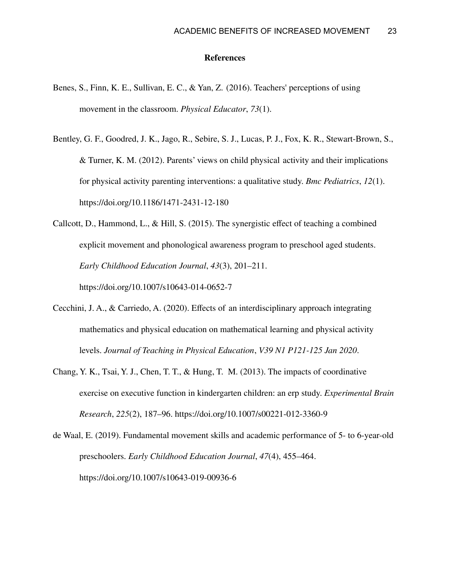#### **References**

- Benes, S., Finn, K. E., Sullivan, E. C., & Yan, Z. (2016). Teachers' perceptions of using movement in the classroom. *Physical Educator*, *73*(1).
- Bentley, G. F., Goodred, J. K., Jago, R., Sebire, S. J., Lucas, P. J., Fox, K. R., Stewart-Brown, S., & Turner, K. M. (2012). Parents' views on child physical activity and their implications for physical activity parenting interventions: a qualitative study. *Bmc Pediatrics*, *12*(1). https://doi.org/10.1186/1471-2431-12-180
- Callcott, D., Hammond, L., & Hill, S. (2015). The synergistic effect of teaching a combined explicit movement and phonological awareness program to preschool aged students. *Early Childhood Education Journal*, *43*(3), 201–211. https://doi.org/10.1007/s10643-014-0652-7
- Cecchini, J. A., & Carriedo, A. (2020). Effects of an interdisciplinary approach integrating mathematics and physical education on mathematical learning and physical activity levels. *Journal of Teaching in Physical Education*, *V39 N1 P121-125 Jan 2020*.
- Chang, Y. K., Tsai, Y. J., Chen, T. T., & Hung, T. M. (2013). The impacts of coordinative exercise on executive function in kindergarten children: an erp study. *Experimental Brain Research*, *225*(2), 187–96. https://doi.org/10.1007/s00221-012-3360-9
- de Waal, E. (2019). Fundamental movement skills and academic performance of 5- to 6-year-old preschoolers. *Early Childhood Education Journal*, *47*(4), 455–464. https://doi.org/10.1007/s10643-019-00936-6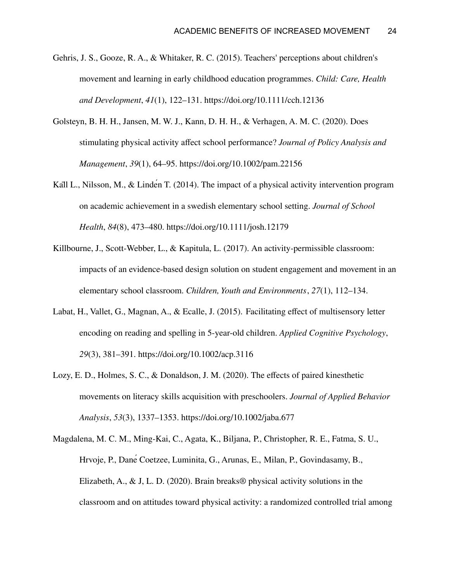- Gehris, J. S., Gooze, R. A., & Whitaker, R. C. (2015). Teachers' perceptions about children's movement and learning in early childhood education programmes. *Child: Care, Health and Development*, *41*(1), 122–131. https://doi.org/10.1111/cch.12136
- Golsteyn, B. H. H., Jansen, M. W. J., Kann, D. H. H., & Verhagen, A. M. C. (2020). Does stimulating physical activity affect school performance? *Journal of Policy Analysis and Management*, *39*(1), 64–95. https://doi.org/10.1002/pam.22156
- Kall L., Nilsson, M., & Linden T. (2014). The impact of a physical activity intervention program on academic achievement in a swedish elementary school setting. *Journal of School Health*, *84*(8), 473–480. https://doi.org/10.1111/josh.12179
- Killbourne, J., Scott-Webber, L., & Kapitula, L. (2017). An activity-permissible classroom: impacts of an evidence-based design solution on student engagement and movement in an elementary school classroom. *Children, Youth and Environments*, *27*(1), 112–134.
- Labat, H., Vallet, G., Magnan, A., & Ecalle, J. (2015). Facilitating effect of multisensory letter encoding on reading and spelling in 5-year-old children. *Applied Cognitive Psychology*, *29*(3), 381–391. https://doi.org/10.1002/acp.3116
- Lozy, E. D., Holmes, S. C., & Donaldson, J. M. (2020). The effects of paired kinesthetic movements on literacy skills acquisition with preschoolers. *Journal of Applied Behavior Analysis*, *53*(3), 1337–1353. https://doi.org/10.1002/jaba.677
- Magdalena, M. C. M., Ming-Kai, C., Agata, K., Biljana, P., Christopher, R. E., Fatma, S. U., Hrvoje, P., DanéCoetzee, Luminita, G., Arunas, E., Milan, P., Govindasamy, B., Elizabeth, A., & J, L. D. (2020). Brain breaks® physical activity solutions in the classroom and on attitudes toward physical activity: a randomized controlled trial among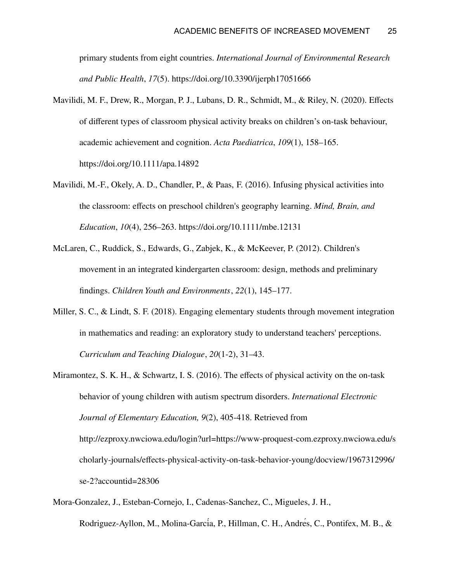primary students from eight countries. *International Journal of Environmental Research and Public Health*, *17*(5). https://doi.org/10.3390/ijerph17051666

- Mavilidi, M. F., Drew, R., Morgan, P. J., Lubans, D. R., Schmidt, M., & Riley, N. (2020). Effects of different types of classroom physical activity breaks on children's on-task behaviour, academic achievement and cognition. *Acta Paediatrica*, *109*(1), 158–165. https://doi.org/10.1111/apa.14892
- Mavilidi, M.-F., Okely, A. D., Chandler, P., & Paas, F. (2016). Infusing physical activities into the classroom: effects on preschool children's geography learning. *Mind, Brain, and Education*, *10*(4), 256–263. https://doi.org/10.1111/mbe.12131
- McLaren, C., Ruddick, S., Edwards, G., Zabjek, K., & McKeever, P. (2012). Children's movement in an integrated kindergarten classroom: design, methods and preliminary findings. *Children Youth and Environments*, *22*(1), 145–177.
- Miller, S. C., & Lindt, S. F. (2018). Engaging elementary students through movement integration in mathematics and reading: an exploratory study to understand teachers' perceptions. *Curriculum and Teaching Dialogue*, *20*(1-2), 31–43.
- Miramontez, S. K. H., & Schwartz, I. S. (2016). The effects of physical activity on the on-task behavior of young children with autism spectrum disorders. *International Electronic Journal of Elementary Education, 9*(2), 405-418. Retrieved from http://ezproxy.nwciowa.edu/login?url=https://www-proquest-com.ezproxy.nwciowa.edu/s cholarly-journals/effects-physical-activity-on-task-behavior-young/docview/1967312996/ se-2?accountid=28306
- Mora-Gonzalez, J., Esteban-Cornejo, I., Cadenas-Sanchez, C., Migueles, J. H., Rodriguez-Ayllon, M., Molina-García, P., Hillman, C. H., Andrés, C., Pontifex, M. B., &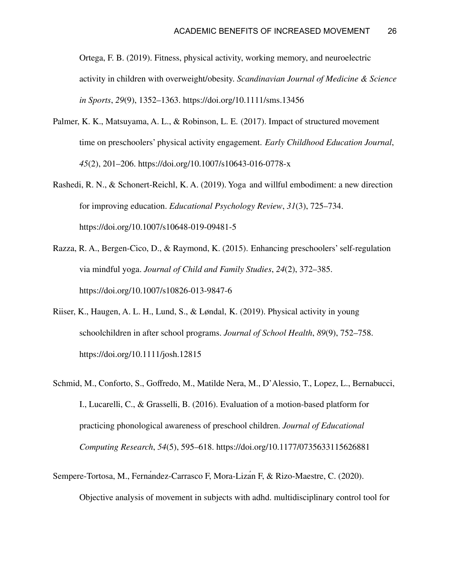Ortega, F. B. (2019). Fitness, physical activity, working memory, and neuroelectric activity in children with overweight/obesity. *Scandinavian Journal of Medicine & Science in Sports*, *29*(9), 1352–1363. https://doi.org/10.1111/sms.13456

- Palmer, K. K., Matsuyama, A. L., & Robinson, L. E. (2017). Impact of structured movement time on preschoolers' physical activity engagement. *Early Childhood Education Journal*, *45*(2), 201–206. https://doi.org/10.1007/s10643-016-0778-x
- Rashedi, R. N., & Schonert-Reichl, K. A. (2019). Yoga and willful embodiment: a new direction for improving education. *Educational Psychology Review*, *31*(3), 725–734. https://doi.org/10.1007/s10648-019-09481-5
- Razza, R. A., Bergen-Cico, D., & Raymond, K. (2015). Enhancing preschoolers'self-regulation via mindful yoga. *Journal of Child and Family Studies*, *24*(2), 372–385. https://doi.org/10.1007/s10826-013-9847-6
- Riiser, K., Haugen, A. L. H., Lund, S., & Løndal, K. (2019). Physical activity in young schoolchildren in after school programs. *Journal of School Health*, *89*(9), 752–758. https://doi.org/10.1111/josh.12815
- Schmid, M., Conforto, S., Goffredo, M., Matilde Nera, M., D'Alessio, T., Lopez, L., Bernabucci, I., Lucarelli, C., & Grasselli, B. (2016). Evaluation of a motion-based platform for practicing phonological awareness of preschool children. *Journal of Educational Computing Research*, *54*(5), 595–618. https://doi.org/10.1177/0735633115626881
- Sempere-Tortosa, M., Fernandez-Carrasco F, Mora-Lizan F, & Rizo-Maestre, C. (2020). Objective analysis of movement in subjects with adhd. multidisciplinary control tool for